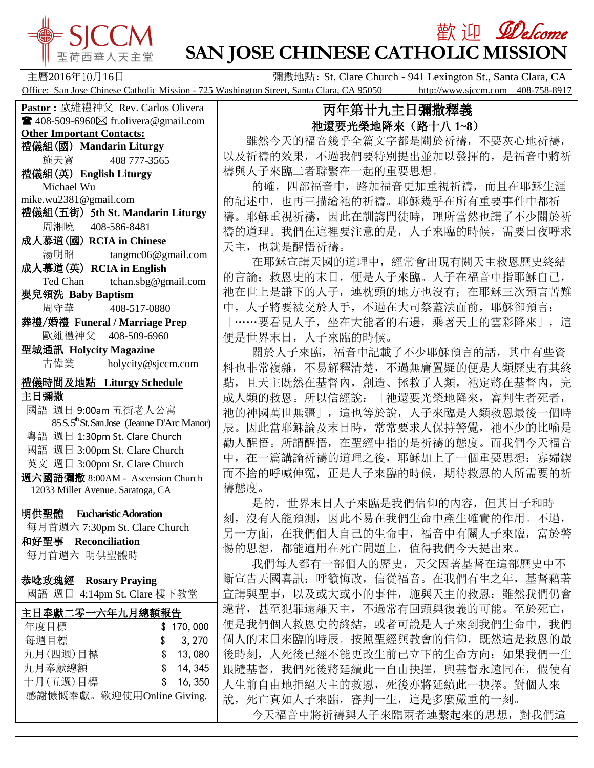

## 歡 迎 *见elcome* **SAN JOSE CHINESE CATHOLIC MISSION**

主曆2016年10月16日 **Guart Clara, CA 南撒地點: St. Clare Church - 941 Lexington St., Santa Clara, CA** Office: San Jose Chinese Catholic Mission - 725 Washington Street, Santa Clara, CA 95050 http://www.sjccm.com 408-758-8917

## 丙年第廿九主日彌撒釋義 祂還要光榮地降來(路十八 **1~8**)

 雖然今天的福音幾乎全篇文字都是關於祈禱,不要灰心地祈禱, 以及祈禱的效果,不過我們要特別提出並加以發揮的,是福音中將祈 禱與人子來臨二者聯繫在一起的重要思想。

的確, 四部福音中, 路加福音更加重視祈禱, 而且在耶穌生涯 的記述中,也再三描繪祂的祈禱。耶穌幾乎在所有重要事件中都祈 禱。耶穌重視祈禱,因此在訓誨門徒時,理所當然也講了不少關於祈 禱的道理。我們在這裡要注意的是,人子來臨的時候,需要日夜呼求 天主,也就是醒悟祈禱。

 在耶穌宣講天國的道理中,經常會出現有關天主救恩歷史終結 的言論;救恩史的末日,便是人子來臨。人子在福音中指耶穌自己, 祂在世上是謙下的人子,連枕頭的地方也沒有;在耶穌三次預言苦難 中,人子將要被交於人手,不過在大司祭蓋法面前,耶穌卻預言: 「……要看見人子,坐在大能者的右邊,乘著天上的雲彩降來」,這 便是世界末日,人子來臨的時候。

關於人子來臨,福音中記載了不少耶穌預言的話,其中有些資 料也非常複雜,不易解釋清楚,不過無庸置疑的便是人類歷史有其終 點,且天主既然在基督內,創造、拯救了人類,祂定將在基督內,完 成人類的救恩。所以信經說:「祂還要光榮地降來,審判生者死者, 祂的神國萬世無疆」,這也等於說,人子來臨是人類救恩最後一個時 辰。因此當耶穌論及末日時,常常要求人保持警覺,祂不少的比喻是 勸人醒悟。所謂醒悟,在聖經中指的是祈禱的態度。而我們今天福音 中,在一篇講論祈禱的道理之後, 耶穌加上了一個重要思想: 寡婦鍥 而不捨的呼喊伸冤,正是人子來臨的時候,期待救恩的人所需要的祈 禱態度。

 是的,世界末日人子來臨是我們信仰的內容,但其日子和時 刻,沒有人能預測,因此不易在我們生命中產生確實的作用。不過, 另一方面,在我們個人自己的生命中,福音中有關人子來臨,富於警 惕的思想,都能適用在死亡問題上,值得我們今天提出來。

 我們每人都有一部個人的歷史,天父因著基督在這部歷史中不 斷宣告天國喜訊:呼籲悔改,信從福音。在我們有生之年,基督藉著 宣講與聖事,以及或大或小的事件,施與天主的救恩;雖然我們仍會 違背,甚至犯罪遠離天主,不過常有回頭與復義的可能。至於死亡, 便是我們個人救恩史的終結,或者可說是人子來到我們生命中,我們 個人的末日來臨的時辰。按照聖經與教會的信仰,既然這是救恩的最 後時刻,人死後已經不能更改生前已立下的生命方向;如果我們一生 跟隨基督,我們死後將延續此一自由抉擇,與基督永遠同在,假使有 人生前自由地拒絕天主的救恩,死後亦將延續此一抉擇。對個人來 說,死亡真如人子來臨,審判一生,這是多麼嚴重的一刻。 今天福音中將祈禱與人子來臨兩者連繫起來的思想,對我們這

**Pastor :** 歐維禮神父 Rev. Carlos Olivera

 $\blacksquare$  408-509-6960 $\boxtimes$  fr.olivera@gmail.com **Other Important Contacts:** 禮儀組(國) **Mandarin Liturgy** 施天寶 408 777-3565

禮儀組(英) **English Liturgy** Michael Wu

mike.wu2381@gmail.com

- 禮儀組(五街) 5**th St. Mandarin Liturgy** 周湘曉 408-586-8481
- 成人慕道(國) **RCIA in Chinese** 湯明昭 tangmc06@gmail.com 成人慕道(英) **RCIA in English**

Ted Chan tchan.sbg@gmail.com

- 嬰兒領洗 **Baby Baptism** 周守華 408-517-0880
- 葬禮/婚禮 **Funeral / Marriage Prep** 歐維禮神父 408-509-6960

聖城通訊 **Holycity Magazine** 古偉業 [holycity@sjccm.com](mailto:holycity@sjccm.com)

## 禮儀時間及地點 **Liturgy Schedule** 主日彌撒

國語 週日 9:00am 五街老人公寓 85 S. 5<sup>th</sup> St. San Jose (Jeanne D'Arc Manor) 粵語 週日 1:30pm St. Clare Church 國語 週日 3:00pm St. Clare Church 英文 週日 3:00pm St. Clare Church 週六國語彌撒 8:00AM - Ascension Church 12033 Miller Avenue. Saratoga, CA

明供聖體 **Eucharistic Adoration**

每月首週六 7:30pm St. Clare Church

和好聖事 **Reconciliation** 每月首週六 明供聖體時

恭唸玫瑰經 **Rosary Praying** 國語 週日 4:14pm St. Clare 樓下教堂

| 主日奉獻二零一六年九月總額報告 |  |           |  |
|-----------------|--|-----------|--|
| 年度目標            |  | \$170,000 |  |
| 每週目標            |  | \$3,270   |  |
| 九月(四週)目標        |  | \$13,080  |  |
| 九月奉獻總額          |  | \$14,345  |  |
| 十月(五週)目標        |  | \$16,350  |  |

感謝慷慨奉獻。歡迎使用Online Giving.